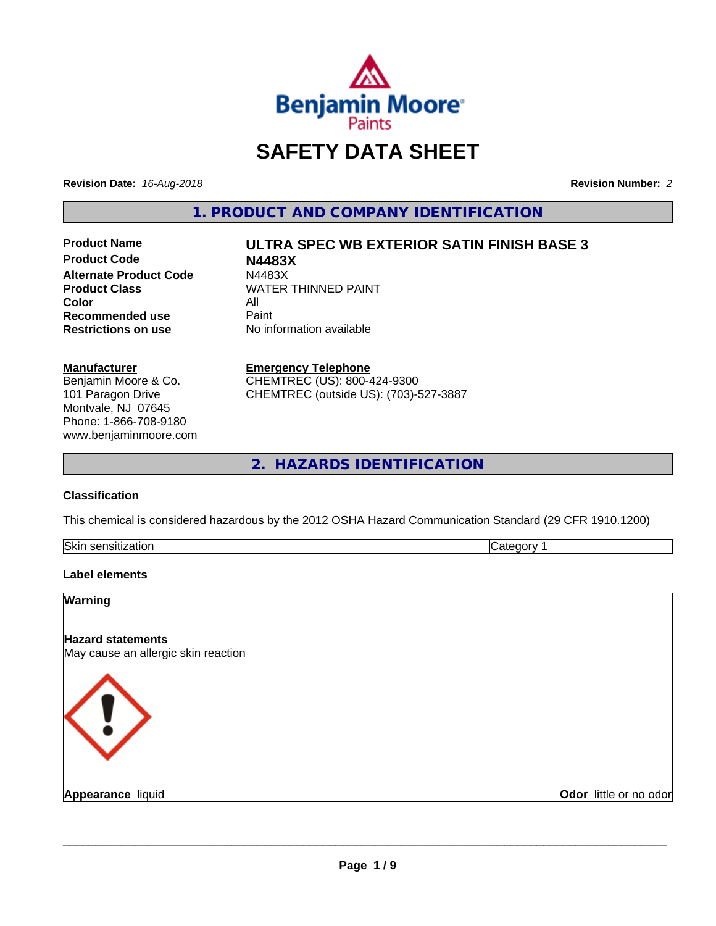

# **SAFETY DATA SHEET**

**Revision Date:** *16-Aug-2018* **Revision Number:** *2*

**1. PRODUCT AND COMPANY IDENTIFICATION**

**Product Code N4483X Alternate Product Code M4483X**<br>Product Class WATER **Color** All<br> **Recommended use** Paint **Recommended use**<br>Restrictions on use

# **Product Name ULTRA SPEC WB EXTERIOR SATIN FINISH BASE 3**

**WATER THINNED PAINT No information available** 

#### **Manufacturer**

Benjamin Moore & Co. 101 Paragon Drive Montvale, NJ 07645 Phone: 1-866-708-9180 www.benjaminmoore.com

#### **Emergency Telephone**

CHEMTREC (US): 800-424-9300 CHEMTREC (outside US): (703)-527-3887

**2. HAZARDS IDENTIFICATION**

### **Classification**

This chemical is considered hazardous by the 2012 OSHA Hazard Communication Standard (29 CFR 1910.1200)

| Skir<br>.<br>- 11<br>5511<br>auvr |  |
|-----------------------------------|--|
|                                   |  |

### **Label elements**

| Warning                                                         |                        |
|-----------------------------------------------------------------|------------------------|
| <b>Hazard statements</b><br>May cause an allergic skin reaction |                        |
| $\langle \, \vert \, \rangle$                                   |                        |
| <b>Appearance liquid</b>                                        | Odor little or no odor |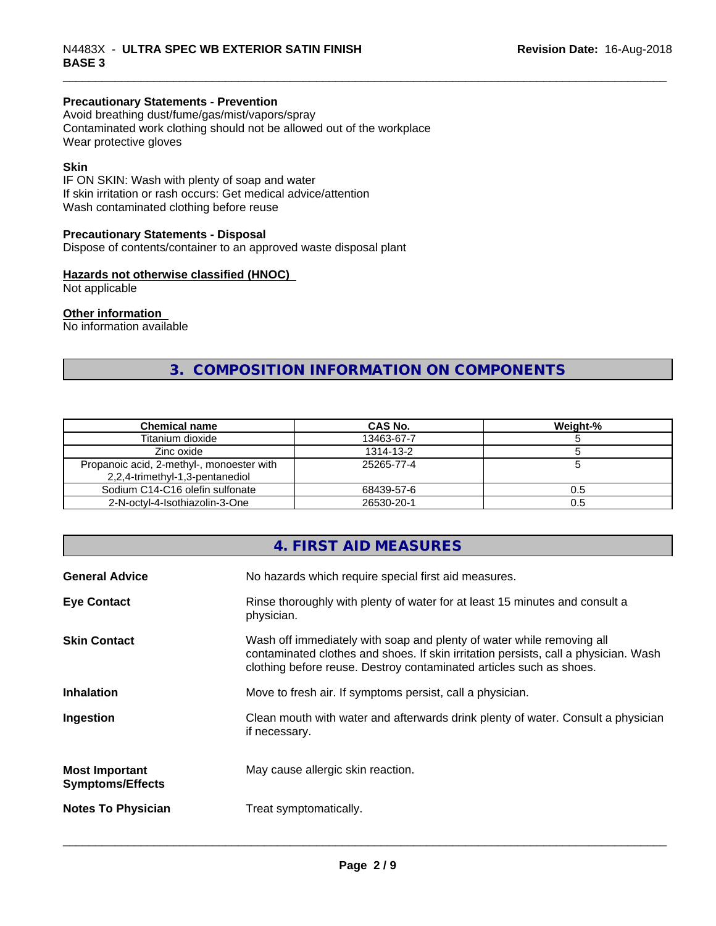## **Precautionary Statements - Prevention**

Avoid breathing dust/fume/gas/mist/vapors/spray Contaminated work clothing should not be allowed out of the workplace Wear protective gloves

#### **Skin**

IF ON SKIN: Wash with plenty of soap and water If skin irritation or rash occurs: Get medical advice/attention Wash contaminated clothing before reuse

#### **Precautionary Statements - Disposal**

Dispose of contents/container to an approved waste disposal plant

#### **Hazards not otherwise classified (HNOC)**

Not applicable

#### **Other information**

No information available

# **3. COMPOSITION INFORMATION ON COMPONENTS**

| <b>Chemical name</b>                      | CAS No.    | Weight-% |
|-------------------------------------------|------------|----------|
| Titanium dioxide                          | 13463-67-7 |          |
| Zinc oxide                                | 1314-13-2  |          |
| Propanoic acid, 2-methyl-, monoester with | 25265-77-4 |          |
| 2,2,4-trimethyl-1,3-pentanediol           |            |          |
| Sodium C14-C16 olefin sulfonate           | 68439-57-6 | 0.5      |
| 2-N-octvl-4-Isothiazolin-3-One            | 26530-20-1 | 0.5      |

# **4. FIRST AID MEASURES**

| <b>General Advice</b>                            | No hazards which require special first aid measures.                                                                                                                                                                                |
|--------------------------------------------------|-------------------------------------------------------------------------------------------------------------------------------------------------------------------------------------------------------------------------------------|
| <b>Eye Contact</b>                               | Rinse thoroughly with plenty of water for at least 15 minutes and consult a<br>physician.                                                                                                                                           |
| <b>Skin Contact</b>                              | Wash off immediately with soap and plenty of water while removing all<br>contaminated clothes and shoes. If skin irritation persists, call a physician. Wash<br>clothing before reuse. Destroy contaminated articles such as shoes. |
| <b>Inhalation</b>                                | Move to fresh air. If symptoms persist, call a physician.                                                                                                                                                                           |
| Ingestion                                        | Clean mouth with water and afterwards drink plenty of water. Consult a physician<br>if necessary.                                                                                                                                   |
| <b>Most Important</b><br><b>Symptoms/Effects</b> | May cause allergic skin reaction.                                                                                                                                                                                                   |
| <b>Notes To Physician</b>                        | Treat symptomatically.                                                                                                                                                                                                              |
|                                                  |                                                                                                                                                                                                                                     |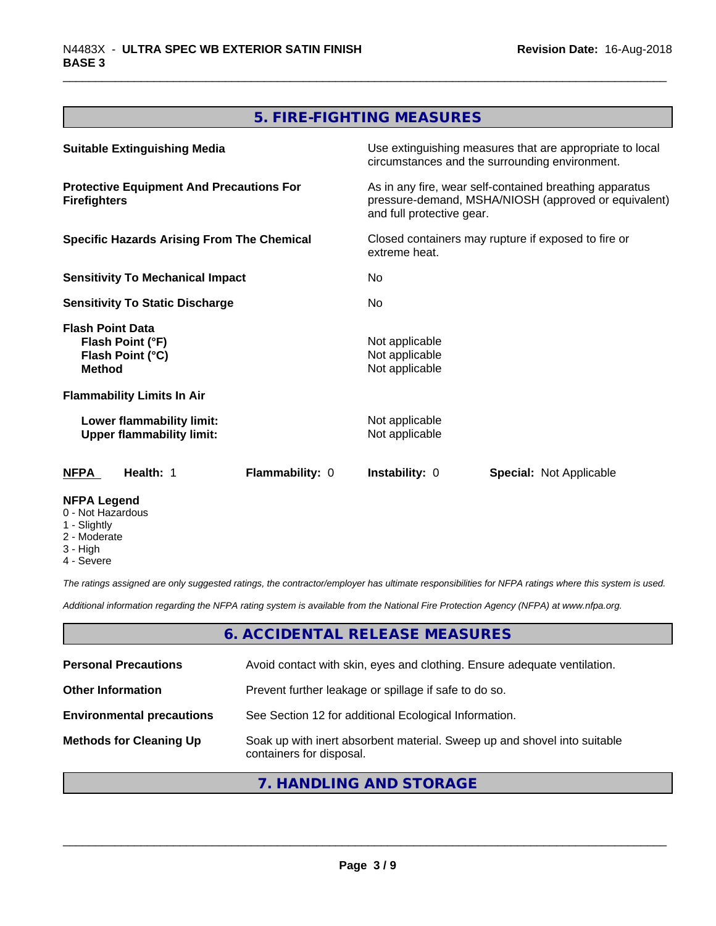# **5. FIRE-FIGHTING MEASURES**

| <b>Suitable Extinguishing Media</b>                                              | Use extinguishing measures that are appropriate to local<br>circumstances and the surrounding environment.                                   |  |  |
|----------------------------------------------------------------------------------|----------------------------------------------------------------------------------------------------------------------------------------------|--|--|
| <b>Protective Equipment And Precautions For</b><br><b>Firefighters</b>           | As in any fire, wear self-contained breathing apparatus<br>pressure-demand, MSHA/NIOSH (approved or equivalent)<br>and full protective gear. |  |  |
| <b>Specific Hazards Arising From The Chemical</b>                                | Closed containers may rupture if exposed to fire or<br>extreme heat.                                                                         |  |  |
| <b>Sensitivity To Mechanical Impact</b>                                          | No.                                                                                                                                          |  |  |
| <b>Sensitivity To Static Discharge</b>                                           | No                                                                                                                                           |  |  |
| <b>Flash Point Data</b><br>Flash Point (°F)<br>Flash Point (°C)<br><b>Method</b> | Not applicable<br>Not applicable<br>Not applicable                                                                                           |  |  |
| <b>Flammability Limits In Air</b>                                                |                                                                                                                                              |  |  |
| Lower flammability limit:<br><b>Upper flammability limit:</b>                    | Not applicable<br>Not applicable                                                                                                             |  |  |
| Health: 1<br><b>Flammability: 0</b><br>NFPA                                      | <b>Instability: 0</b><br><b>Special: Not Applicable</b>                                                                                      |  |  |
| <b>NFPA Legend</b><br>0 - Not Hazardous<br>1 - Slightly                          |                                                                                                                                              |  |  |

- 2 Moderate
- 3 High
- 4 Severe

*The ratings assigned are only suggested ratings, the contractor/employer has ultimate responsibilities for NFPA ratings where this system is used.*

*Additional information regarding the NFPA rating system is available from the National Fire Protection Agency (NFPA) at www.nfpa.org.*

### **6. ACCIDENTAL RELEASE MEASURES**

| <b>Personal Precautions</b>      | Avoid contact with skin, eyes and clothing. Ensure adequate ventilation.                             |
|----------------------------------|------------------------------------------------------------------------------------------------------|
| <b>Other Information</b>         | Prevent further leakage or spillage if safe to do so.                                                |
| <b>Environmental precautions</b> | See Section 12 for additional Ecological Information.                                                |
| <b>Methods for Cleaning Up</b>   | Soak up with inert absorbent material. Sweep up and shovel into suitable<br>containers for disposal. |

# **7. HANDLING AND STORAGE**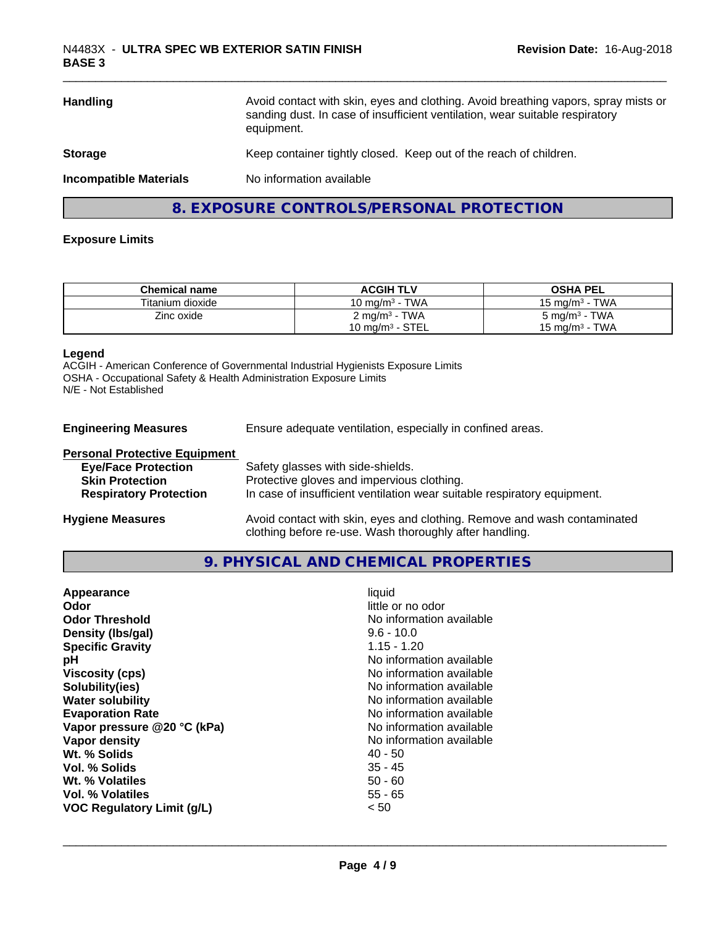| <b>Handling</b>               | Avoid contact with skin, eyes and clothing. Avoid breathing vapors, spray mists or<br>sanding dust. In case of insufficient ventilation, wear suitable respiratory<br>equipment. |
|-------------------------------|----------------------------------------------------------------------------------------------------------------------------------------------------------------------------------|
| <b>Storage</b>                | Keep container tightly closed. Keep out of the reach of children.                                                                                                                |
| <b>Incompatible Materials</b> | No information available                                                                                                                                                         |
|                               | 8. EXPOSURE CONTROLS/PERSONAL PROTECTION                                                                                                                                         |

#### **Exposure Limits**

| <b>Chemical name</b> | <b>ACGIH TLV</b>         | <b>OSHA PEL</b>          |
|----------------------|--------------------------|--------------------------|
| Titanium dioxide     | 10 mg/m $3$ - TWA        | 15 mg/m $3$ - TWA        |
| Zinc oxide           | $2 \text{ mg/m}^3$ - TWA | $5 \text{ mg/m}^3$ - TWA |
|                      | 10 mg/m $3$ - STEL       | 15 mg/m $3$ - TWA        |

#### **Legend**

ACGIH - American Conference of Governmental Industrial Hygienists Exposure Limits OSHA - Occupational Safety & Health Administration Exposure Limits N/E - Not Established

**Engineering Measures** Ensure adequate ventilation, especially in confined areas.

| <b>Personal Protective Equipment</b> |                                                                                                                                     |
|--------------------------------------|-------------------------------------------------------------------------------------------------------------------------------------|
| <b>Eye/Face Protection</b>           | Safety glasses with side-shields.                                                                                                   |
| <b>Skin Protection</b>               | Protective gloves and impervious clothing.                                                                                          |
| <b>Respiratory Protection</b>        | In case of insufficient ventilation wear suitable respiratory equipment.                                                            |
| <b>Hygiene Measures</b>              | Avoid contact with skin, eyes and clothing. Remove and wash contaminated<br>clothing before re-use. Wash thoroughly after handling. |

### **9. PHYSICAL AND CHEMICAL PROPERTIES**

| No information available<br><b>Odor Threshold</b><br>Density (Ibs/gal)<br>$9.6 - 10.0$<br>$1.15 - 1.20$<br><b>Specific Gravity</b><br>No information available<br>рH<br><b>Viscosity (cps)</b><br>No information available<br>Solubility(ies)<br>No information available<br>No information available<br><b>Water solubility</b><br><b>Evaporation Rate</b><br>No information available<br>No information available<br>Vapor pressure @20 °C (kPa)<br>No information available<br>Vapor density<br>Wt. % Solids<br>40 - 50<br>$35 - 45$<br>Vol. % Solids<br>$50 - 60$<br>Wt. % Volatiles<br>Vol. % Volatiles<br>$55 - 65$<br><b>VOC Regulatory Limit (g/L)</b><br>< 50 |
|------------------------------------------------------------------------------------------------------------------------------------------------------------------------------------------------------------------------------------------------------------------------------------------------------------------------------------------------------------------------------------------------------------------------------------------------------------------------------------------------------------------------------------------------------------------------------------------------------------------------------------------------------------------------|
|------------------------------------------------------------------------------------------------------------------------------------------------------------------------------------------------------------------------------------------------------------------------------------------------------------------------------------------------------------------------------------------------------------------------------------------------------------------------------------------------------------------------------------------------------------------------------------------------------------------------------------------------------------------------|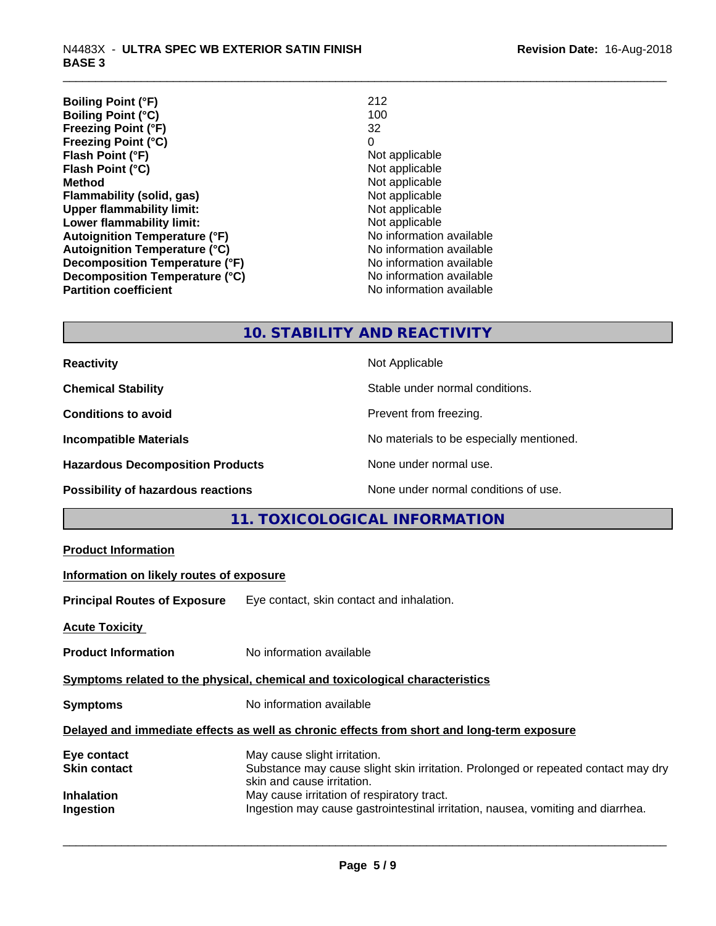| <b>Boiling Point (°F)</b>            | 212                      |
|--------------------------------------|--------------------------|
| <b>Boiling Point (°C)</b>            | 100                      |
| Freezing Point (°F)                  | 32                       |
| <b>Freezing Point (°C)</b>           | 0                        |
| Flash Point (°F)                     | Not applicable           |
| Flash Point (°C)                     | Not applicable           |
| <b>Method</b>                        | Not applicable           |
| Flammability (solid, gas)            | Not applicable           |
| <b>Upper flammability limit:</b>     | Not applicable           |
| Lower flammability limit:            | Not applicable           |
| <b>Autoignition Temperature (°F)</b> | No information available |
| <b>Autoignition Temperature (°C)</b> | No information available |
| Decomposition Temperature (°F)       | No information available |
| Decomposition Temperature (°C)       | No information available |
| <b>Partition coefficient</b>         | No information available |

# **10. STABILITY AND REACTIVITY**

| <b>Reactivity</b>                         | Not Applicable                           |
|-------------------------------------------|------------------------------------------|
| <b>Chemical Stability</b>                 | Stable under normal conditions.          |
| <b>Conditions to avoid</b>                | Prevent from freezing.                   |
| <b>Incompatible Materials</b>             | No materials to be especially mentioned. |
| <b>Hazardous Decomposition Products</b>   | None under normal use.                   |
| <b>Possibility of hazardous reactions</b> | None under normal conditions of use.     |

# **11. TOXICOLOGICAL INFORMATION**

| <b>Product Information</b>               |                                                                                                                                                 |
|------------------------------------------|-------------------------------------------------------------------------------------------------------------------------------------------------|
| Information on likely routes of exposure |                                                                                                                                                 |
|                                          | Principal Routes of Exposure Eye contact, skin contact and inhalation.                                                                          |
| <b>Acute Toxicity</b>                    |                                                                                                                                                 |
| <b>Product Information</b>               | No information available                                                                                                                        |
|                                          | Symptoms related to the physical, chemical and toxicological characteristics                                                                    |
| <b>Symptoms</b>                          | No information available                                                                                                                        |
|                                          | Delayed and immediate effects as well as chronic effects from short and long-term exposure                                                      |
| Eye contact<br>Skin contact              | May cause slight irritation.<br>Substance may cause slight skin irritation. Prolonged or repeated contact may dry<br>skin and cause irritation. |
| Inhalation<br>Ingestion                  | May cause irritation of respiratory tract.<br>Ingestion may cause gastrointestinal irritation, nausea, vomiting and diarrhea.                   |
|                                          |                                                                                                                                                 |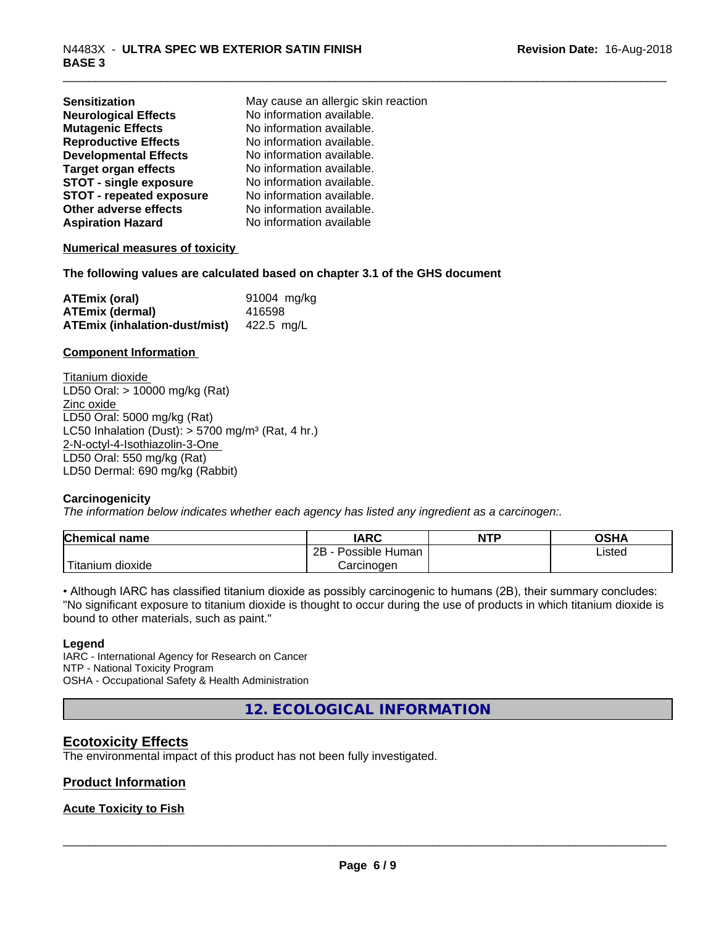| <b>Sensitization</b>            | May cause an allergic skin reaction |
|---------------------------------|-------------------------------------|
| <b>Neurological Effects</b>     | No information available.           |
| <b>Mutagenic Effects</b>        | No information available.           |
| <b>Reproductive Effects</b>     | No information available.           |
| <b>Developmental Effects</b>    | No information available.           |
| <b>Target organ effects</b>     | No information available.           |
| <b>STOT - single exposure</b>   | No information available.           |
| <b>STOT - repeated exposure</b> | No information available.           |
| Other adverse effects           | No information available.           |
| <b>Aspiration Hazard</b>        | No information available            |

#### **Numerical measures of toxicity**

**The following values are calculated based on chapter 3.1 of the GHS document**

| <b>ATEmix (oral)</b>                 | 91004 mg/kg |
|--------------------------------------|-------------|
| <b>ATEmix (dermal)</b>               | 416598      |
| <b>ATEmix (inhalation-dust/mist)</b> | 422.5 ma/L  |

#### **Component Information**

Titanium dioxide LD50 Oral: > 10000 mg/kg (Rat) Zinc oxide LD50 Oral: 5000 mg/kg (Rat) LC50 Inhalation (Dust):  $> 5700$  mg/m<sup>3</sup> (Rat, 4 hr.) 2-N-octyl-4-Isothiazolin-3-One LD50 Oral: 550 mg/kg (Rat) LD50 Dermal: 690 mg/kg (Rabbit)

#### **Carcinogenicity**

*The information below indicateswhether each agency has listed any ingredient as a carcinogen:.*

| <b>Chemical name</b>       | <b>IARC</b>          | <b>NTP</b> | OSHA   |
|----------------------------|----------------------|------------|--------|
|                            | Possible Human<br>2B |            | Listed |
| ' Titanium 、<br>.n dioxide | Carcinoɑen           |            |        |

• Although IARC has classified titanium dioxide as possibly carcinogenic to humans (2B), their summary concludes: "No significant exposure to titanium dioxide is thought to occur during the use of products in which titanium dioxide is bound to other materials, such as paint."

#### **Legend**

IARC - International Agency for Research on Cancer NTP - National Toxicity Program OSHA - Occupational Safety & Health Administration

**12. ECOLOGICAL INFORMATION**

### **Ecotoxicity Effects**

The environmental impact of this product has not been fully investigated.

#### **Product Information**

#### **Acute Toxicity to Fish**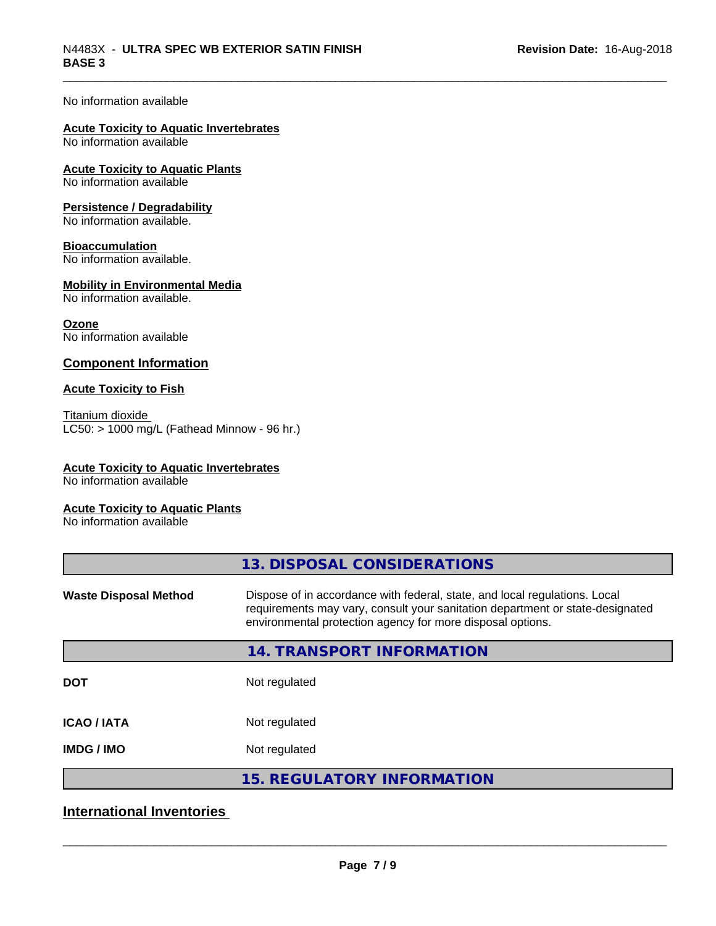#### No information available

# **Acute Toxicity to Aquatic Invertebrates**

No information available

#### **Acute Toxicity to Aquatic Plants** No information available

#### **Persistence / Degradability**

No information available.

#### **Bioaccumulation**

No information available.

#### **Mobility in Environmental Media**

No information available.

#### **Ozone**

No information available

### **Component Information**

#### **Acute Toxicity to Fish**

Titanium dioxide  $LC50:$  > 1000 mg/L (Fathead Minnow - 96 hr.)

#### **Acute Toxicity to Aquatic Invertebrates**

No information available

#### **Acute Toxicity to Aquatic Plants**

No information available

| 13. DISPOSAL CONSIDERATIONS                                                                                                                                                                                               |
|---------------------------------------------------------------------------------------------------------------------------------------------------------------------------------------------------------------------------|
| Dispose of in accordance with federal, state, and local regulations. Local<br>requirements may vary, consult your sanitation department or state-designated<br>environmental protection agency for more disposal options. |
| 14. TRANSPORT INFORMATION                                                                                                                                                                                                 |
| Not regulated                                                                                                                                                                                                             |
| Not regulated                                                                                                                                                                                                             |
| Not regulated                                                                                                                                                                                                             |
| <b>15. REGULATORY INFORMATION</b>                                                                                                                                                                                         |
|                                                                                                                                                                                                                           |

# **International Inventories**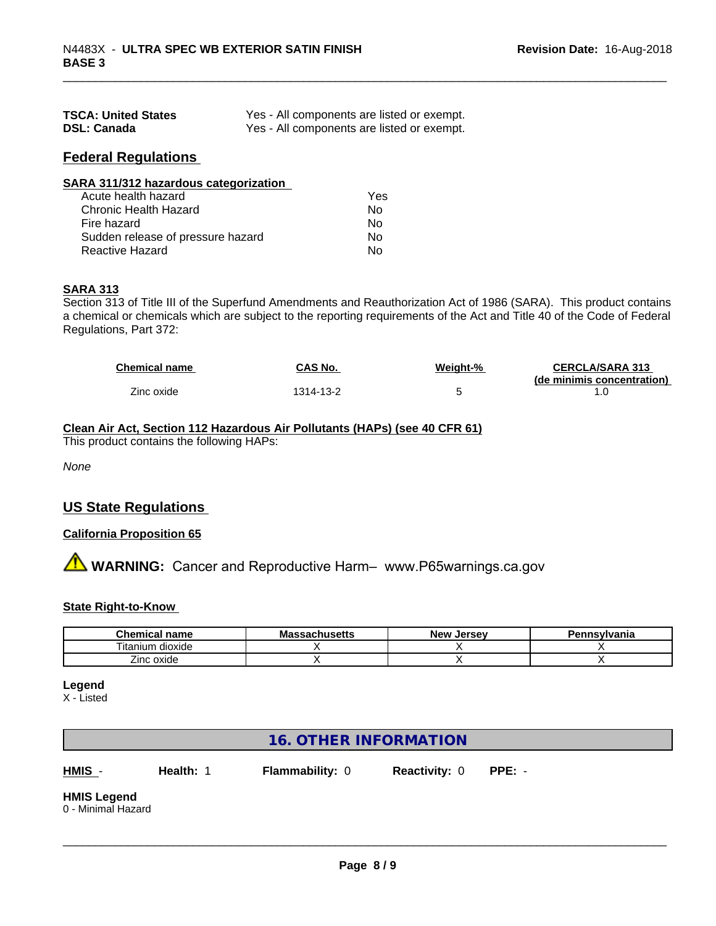| <b>TSCA: United States</b> | Yes - All components are listed or exempt. |
|----------------------------|--------------------------------------------|
| <b>DSL: Canada</b>         | Yes - All components are listed or exempt. |

## **Federal Regulations**

| SARA 311/312 hazardous categorization |     |  |
|---------------------------------------|-----|--|
| Acute health hazard                   | Yes |  |
| Chronic Health Hazard                 | No  |  |
| Fire hazard                           | No  |  |
| Sudden release of pressure hazard     | Nο  |  |
| Reactive Hazard                       | No  |  |

### **SARA 313**

Section 313 of Title III of the Superfund Amendments and Reauthorization Act of 1986 (SARA). This product contains a chemical or chemicals which are subject to the reporting requirements of the Act and Title 40 of the Code of Federal Regulations, Part 372:

| <b>Chemical name</b> | CAS No.   | Weight-% | <b>CERCLA/SARA 313</b>     |
|----------------------|-----------|----------|----------------------------|
|                      |           |          | (de minimis concentration) |
| Zinc oxide           | 1314-13-2 |          |                            |

#### **Clean Air Act,Section 112 Hazardous Air Pollutants (HAPs) (see 40 CFR 61)**

This product contains the following HAPs:

*None*

# **US State Regulations**

### **California Proposition 65**

**AVIMARNING:** Cancer and Reproductive Harm– www.P65warnings.ca.gov

#### **State Right-to-Know**

| Chemical<br>name                       | <b>Jacillacius</b><br>шс | . Jersev<br><b>New</b> | าnsvlvania |
|----------------------------------------|--------------------------|------------------------|------------|
| ⊦dioxide<br>litanium                   |                          |                        |            |
| $\overline{\phantom{a}}$<br>Zinc oxide |                          |                        |            |

#### **Legend**

X - Listed

# **16. OTHER INFORMATION**

**HMIS** - **Health:** 1 **Flammability:** 0 **Reactivity:** 0 **PPE:** -

 $\overline{\phantom{a}}$  ,  $\overline{\phantom{a}}$  ,  $\overline{\phantom{a}}$  ,  $\overline{\phantom{a}}$  ,  $\overline{\phantom{a}}$  ,  $\overline{\phantom{a}}$  ,  $\overline{\phantom{a}}$  ,  $\overline{\phantom{a}}$  ,  $\overline{\phantom{a}}$  ,  $\overline{\phantom{a}}$  ,  $\overline{\phantom{a}}$  ,  $\overline{\phantom{a}}$  ,  $\overline{\phantom{a}}$  ,  $\overline{\phantom{a}}$  ,  $\overline{\phantom{a}}$  ,  $\overline{\phantom{a}}$ 

# **HMIS Legend**

0 - Minimal Hazard